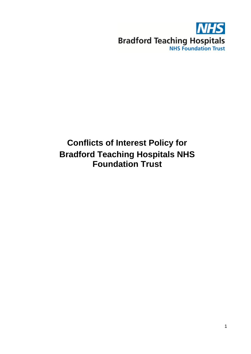

# **Conflicts of Interest Policy for Bradford Teaching Hospitals NHS Foundation Trust**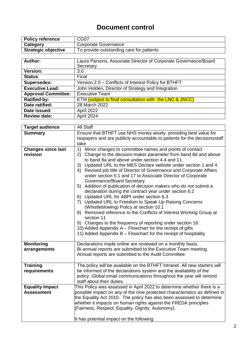## **Document control**

| <b>Policy reference</b>    | CG07                                     |
|----------------------------|------------------------------------------|
| Category                   | Corporate Governance                     |
| <b>Strategic objective</b> | To provide outstanding care for patients |

| Author:                    | Laura Parsons, Associate Director of Corporate Governance/Board |  |  |  |
|----------------------------|-----------------------------------------------------------------|--|--|--|
|                            | Secretary                                                       |  |  |  |
| <b>Version:</b>            | 3.0                                                             |  |  |  |
| <b>Status</b>              | Final                                                           |  |  |  |
| <b>Supersedes:</b>         | Version 2.0 - Conflicts of Interest Policy for BTHFT            |  |  |  |
| <b>Executive Lead:</b>     | John Holden, Director of Strategy and Integration               |  |  |  |
| <b>Approval Committee:</b> | <b>Executive Team</b>                                           |  |  |  |
| <b>Ratified by:</b>        | ETM (subject to final consultation with the LNC & JNCC)         |  |  |  |
| Date ratified:             | 28 March 2022                                                   |  |  |  |
| Date issued:               | April 2022                                                      |  |  |  |
| <b>Review date:</b>        | April 2024                                                      |  |  |  |

| <b>Target audience</b>                      | <b>All Staff</b>                                                                                                                                                                                                                                                                                                                                                                                                                                                                                                                                                                                                                                                                                                                                                                                 |  |  |  |  |
|---------------------------------------------|--------------------------------------------------------------------------------------------------------------------------------------------------------------------------------------------------------------------------------------------------------------------------------------------------------------------------------------------------------------------------------------------------------------------------------------------------------------------------------------------------------------------------------------------------------------------------------------------------------------------------------------------------------------------------------------------------------------------------------------------------------------------------------------------------|--|--|--|--|
| <b>Summary</b>                              | Ensure that BTHFT use NHS money wisely, providing best value for                                                                                                                                                                                                                                                                                                                                                                                                                                                                                                                                                                                                                                                                                                                                 |  |  |  |  |
|                                             | taxpayers and are publicly accountable to patients for the decisionsstaff                                                                                                                                                                                                                                                                                                                                                                                                                                                                                                                                                                                                                                                                                                                        |  |  |  |  |
|                                             | take.                                                                                                                                                                                                                                                                                                                                                                                                                                                                                                                                                                                                                                                                                                                                                                                            |  |  |  |  |
| <b>Changes since last</b><br>revision       | 1)<br>Minor changes to committee names and points of contact<br>2) Change to the decision-maker parameter from band 8d and above<br>to band 8a and above under section 4.4 and 11.<br>3) Updated URL to the MES Declare website under section 1 and 4.<br>4) Revised job title of Director of Governance and Corporate Affairs<br>under section 5.1 and 17 to Associate Director of Corporate<br>Governance/Board Secretary<br>5) Addition of publication of decision makers who do not submit a<br>declaration during the contract year under section 6.2<br>6) Updated URL for ABPI under section 6.3<br>7) Updated URL to Freedom to Speak Up Raising Concerns<br>(Whistleblowing) Policy at section 10.1<br>8) Removed reference to the Conflicts of Interest Working Group at<br>section 11 |  |  |  |  |
|                                             | 9) Changes to the frequency of reporting under section 16.<br>10) Added Appendix A - Flowchart for the receipt of gifts<br>11) Added Appendix B - Flowchart for the receipt of hospitality                                                                                                                                                                                                                                                                                                                                                                                                                                                                                                                                                                                                       |  |  |  |  |
| <b>Monitoring</b><br>arrangements           | Declarations made online are reviewed on a monthly basis.<br>Bi-annual reports are submitted to the Executive Team meeting.<br>Annual reports are submitted to the Audit Committee.                                                                                                                                                                                                                                                                                                                                                                                                                                                                                                                                                                                                              |  |  |  |  |
| <b>Training</b><br>requirements             | The policy will be available on the BTHFT Intranet. All new starters will<br>be informed of the declarations system and the availability of the<br>policy. Global email communications throughout the year will remind<br>staff about their duties.                                                                                                                                                                                                                                                                                                                                                                                                                                                                                                                                              |  |  |  |  |
| <b>Equality Impact</b><br><b>Assessment</b> | This Policy was assessed in April 2022 to determine whether there is a<br>possible impact on any of the nine protected characteristics as defined in<br>the Equality Act 2010. The policy has also been assessed to determine<br>whether it impacts on human rights against the FREDA principles<br>(Fairness, Respect, Equality, Dignity, Autonomy).<br>It has potential impact on the following:                                                                                                                                                                                                                                                                                                                                                                                               |  |  |  |  |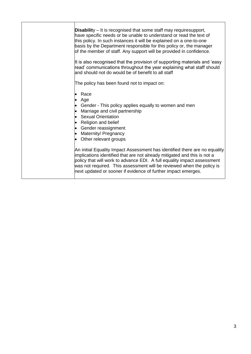| <b>Disability</b> – It is recognised that some staff may requiresupport,<br>have specific needs or be unable to understand or read the text of<br>this policy. In such instances it will be explained on a one-to-one<br>basis by the Department responsible for this policy or, the manager<br>of the member of staff. Any support will be provided in confidence.<br>It is also recognised that the provision of supporting materials and 'easy<br>read' communications throughout the year explaining what staff should<br>and should not do would be of benefit to all staff<br>The policy has been found not to impact on:<br>Race<br>Age<br>Gender - This policy applies equally to women and men<br>Marriage and civil partnership<br><b>Sexual Orientation</b><br>Religion and belief<br>Gender reassignment<br>Maternity/ Pregnancy<br>Other relevant groups |
|-----------------------------------------------------------------------------------------------------------------------------------------------------------------------------------------------------------------------------------------------------------------------------------------------------------------------------------------------------------------------------------------------------------------------------------------------------------------------------------------------------------------------------------------------------------------------------------------------------------------------------------------------------------------------------------------------------------------------------------------------------------------------------------------------------------------------------------------------------------------------|
| An initial Equality Impact Assessment has identified there are no equality<br>implications identified that are not already mitigated and this is not a<br>policy that will work to advance EDI. A full equality impact assessment<br>was not required. This assessment will be reviewed when the policy is<br>next updated or sooner if evidence of further impact emerges.                                                                                                                                                                                                                                                                                                                                                                                                                                                                                           |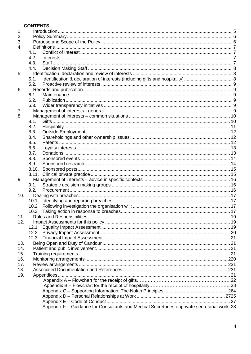### **CONTENTS**

| 1.  |                                                                                              |     |
|-----|----------------------------------------------------------------------------------------------|-----|
| 2.  |                                                                                              |     |
| 3.  |                                                                                              |     |
| 4.  |                                                                                              |     |
|     | 4.1.                                                                                         |     |
|     | 4.2.                                                                                         |     |
|     | 4.3.                                                                                         |     |
|     | 4.4.                                                                                         |     |
| 5.  |                                                                                              |     |
|     | 5.1.                                                                                         |     |
|     | 5.2.                                                                                         |     |
| 6.  |                                                                                              |     |
|     | 6.1.                                                                                         |     |
|     | 6.2.                                                                                         |     |
|     | 6.3.                                                                                         |     |
| 7.  |                                                                                              |     |
| 8.  |                                                                                              |     |
|     | 8.1.                                                                                         |     |
|     | 8.2.                                                                                         |     |
|     | 8.3.                                                                                         |     |
|     | 8.4.                                                                                         |     |
|     | 8.5.                                                                                         |     |
|     | 8.6.                                                                                         |     |
|     | 8.7.                                                                                         |     |
|     | 8.8.                                                                                         |     |
|     | 8.9.                                                                                         |     |
|     | 8.10.<br>8.11.                                                                               |     |
| 9.  |                                                                                              |     |
|     | 9.1.                                                                                         |     |
|     | 9.2.                                                                                         |     |
| 10. |                                                                                              |     |
|     | 10.1.                                                                                        |     |
|     |                                                                                              |     |
|     |                                                                                              |     |
| 11. |                                                                                              |     |
| 12. |                                                                                              |     |
|     |                                                                                              |     |
|     |                                                                                              |     |
|     |                                                                                              |     |
| 13. |                                                                                              |     |
| 14. |                                                                                              |     |
| 15. |                                                                                              |     |
| 16. |                                                                                              |     |
| 17. |                                                                                              |     |
| 18. |                                                                                              |     |
| 19. |                                                                                              |     |
|     |                                                                                              |     |
|     |                                                                                              |     |
|     |                                                                                              |     |
|     |                                                                                              |     |
|     |                                                                                              | .27 |
|     | Appendix F - Guidance for Consultants and Medical Secretaries onprivate secretarial work. 28 |     |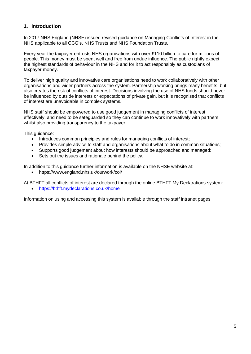### <span id="page-4-0"></span>**1. Introduction**

In 2017 NHS England (NHSE) issued revised guidance on Managing Conflicts of Interest in the NHS applicable to all CCG's, NHS Trusts and NHS Foundation Trusts.

Every year the taxpayer entrusts NHS organisations with over £110 billion to care for millions of people. This money must be spent well and free from undue influence. The public rightly expect the highest standards of behaviour in the NHS and for it to act responsibly as custodians of taxpayer money.

To deliver high quality and innovative care organisations need to work collaboratively with other organisations and wider partners across the system. Partnership working brings many benefits, but also creates the risk of conflicts of interest. Decisions involving the use of NHS funds should never be influenced by outside interests or expectations of private gain, but it is recognised that conflicts of interest are unavoidable in complex systems.

NHS staff should be empowered to use good judgement in managing conflicts of interest effectively, and need to be safeguarded so they can continue to work innovatively with partners whilst also providing transparency to the taxpayer.

This guidance:

- Introduces common principles and rules for managing conflicts of interest;
- Provides simple advice to staff and organisations about what to do in common situations;
- Supports good judgement about how interests should be approached and managed:
- Sets out the issues and rationale behind the policy.

In addition to this guidance further information is available on the NHSE website at:

https:/[/www.england.nhs.uk/ourwork/coi/](http://www.england.nhs.uk/ourwork/coi/)

At BTHFT all conflicts of interest are declared through the online BTHFT My Declarations system:

<https://bthft.mydeclarations.co.uk/home>

Information on using and accessing this system is available through the staff intranet pages.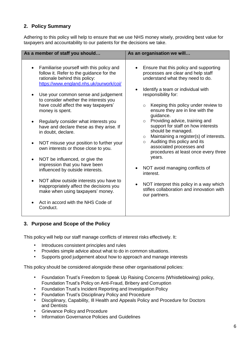### <span id="page-5-0"></span>**2. Policy Summary**

Adhering to this policy will help to ensure that we use NHS money wisely, providing best value for taxpayers and accountability to our patients for the decisions we take.

| As a member of staff you should                                                                                                                                                                                                                                                                                                                                                                                                                                                                                                                                                                                                                                                                                                                                                                               | As an organisation we will                                                                                                                                                                                                                                                                                                                                                                                                                                                                                                                                                                                                                                                                                                         |  |  |
|---------------------------------------------------------------------------------------------------------------------------------------------------------------------------------------------------------------------------------------------------------------------------------------------------------------------------------------------------------------------------------------------------------------------------------------------------------------------------------------------------------------------------------------------------------------------------------------------------------------------------------------------------------------------------------------------------------------------------------------------------------------------------------------------------------------|------------------------------------------------------------------------------------------------------------------------------------------------------------------------------------------------------------------------------------------------------------------------------------------------------------------------------------------------------------------------------------------------------------------------------------------------------------------------------------------------------------------------------------------------------------------------------------------------------------------------------------------------------------------------------------------------------------------------------------|--|--|
| Familiarise yourself with this policy and<br>follow it. Refer to the guidance for the<br>rationale behind this policy:<br>https://www.england.nhs.uk/ourwork/coi/<br>Use your common sense and judgement<br>to consider whether the interests you<br>have could affect the way taxpayers'<br>money is spent.<br>Regularly consider what interests you<br>have and declare these as they arise. If<br>in doubt, declare.<br>NOT misuse your position to further your<br>own interests or those close to you.<br>NOT be influenced, or give the<br>impression that you have been<br>influenced by outside interests.<br>NOT allow outside interests you have to<br>$\bullet$<br>inappropriately affect the decisions you<br>make when using taxpayers' money.<br>Act in accord with the NHS Code of<br>Conduct. | Ensure that this policy and supporting<br>processes are clear and help staff<br>understand what they need to do.<br>Identify a team or individual with<br>responsibility for:<br>Keeping this policy under review to<br>$\circ$<br>ensure they are in line with the<br>guidance.<br>Providing advice, training and<br>$\circ$<br>support for staff on how interests<br>should be managed.<br>Maintaining a register(s) of interests.<br>$\circ$<br>Auditing this policy and its<br>$\circ$<br>associated processes and<br>procedures at least once every three<br>years.<br>NOT avoid managing conflicts of<br>interest.<br>NOT interpret this policy in a way which<br>stifles collaboration and innovation with<br>our partners. |  |  |

### <span id="page-5-1"></span>**3. Purpose and Scope of the Policy**

This policy will help our staff manage conflicts of interest risks effectively. It:

- Introduces consistent principles and rules
- Provides simple advice about what to do in common situations.
- Supports good judgement about how to approach and manage interests

This policy should be considered alongside these other organisational policies:

- Foundation Trust's Freedom to Speak Up Raising Concerns (Whistleblowing) policy, Foundation Trust's Policy on Anti-Fraud, Bribery and Corruption
- Foundation Trust's Incident Reporting and Investigation Policy
- Foundation Trust's Disciplinary Policy and Procedure
- Disciplinary, Capability, Ill Health and Appeals Policy and Procedure for Doctors and Dentists
- Grievance Policy and Procedure
- Information Governance Policies and Guidelines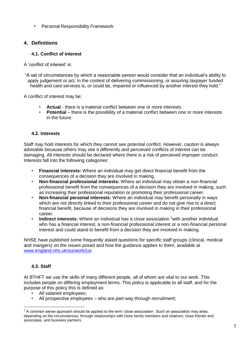• Personal Responsibility Framework

### <span id="page-6-0"></span>**4. Definitions**

### **4.1. Conflict of Interest**

<span id="page-6-1"></span>A 'conflict of interest' is:

"A set of circumstances by which a reasonable person would consider that an individual's ability to apply judgement or act, in the context of delivering commissioning, or assuring taxpayer funded health and care services is, or could be, impaired or influenced by another interest they hold."

A conflict of interest may be:

- **Actual**  there is a material conflict between one or more interests.
- **Potential** there is the possibility of a material conflict between one or more interests in the future.

### **4.2. Interests**

<span id="page-6-2"></span>Staff may hold interests for which they cannot see potential conflict. However, caution is always advisable because others may see it differently and perceived conflicts of interest can be damaging. All interests should be declared where there is a risk of perceived improper conduct. Interests fall into the following categories:

- **Financial interests:** Where an individual may get direct financial benefit from the consequences of a decision they are involved in making.
- **Non-financial professional interests:** Where an individual may obtain a non-financial professional benefit from the consequences of a decision they are involved in making, such as increasing their professional reputation or promoting their professional career.
- **Non-financial personal interests:** Where an individual may benefit personally in ways which are not directly linked to their professional career and do not give rise to a direct financial benefit, because of decisions they are involved in making in their professional career.
- Indirect interests: Where an individual has a close association <sup>1</sup> with another individual who has a financial interest, a non-financial professional interest or a non-financial personal interest and could stand to benefit from a decision they are involved in making.

NHSE have published some frequently asked questions for specific staff groups (clinical, medical and mangers) on the issues posed and how the guidance applies to them, available at [www.england.nhs.uk/ourwork/coi](http://www.england.nhs.uk/ourwork/coi)

### **4.3. Staff**

<span id="page-6-3"></span>At BTHFT we use the skills of many different people, all of whom are vital to our work. This includes people on differing employment terms. This policy is applicable to all staff, and for the purpose of this policy this is defined as:

- All salaried employees;
- All prospective employees who are part-way through recruitment;

 $^{\rm 1}$  A common sense approach should be applied to the term 'close association'. Such an association may arise, depending on the circumstances, through relationships with close family members and relatives, close friends and associates, and business partners.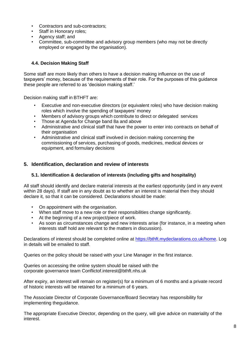- Contractors and sub-contractors;
- Staff in Honorary roles;
- Agency staff; and
- Committee, sub-committee and advisory group members (who may not be directly employed or engaged by the organisation).

### **4.4. Decision Making Staff**

<span id="page-7-0"></span>Some staff are more likely than others to have a decision making influence on the use of taxpayers' money, because of the requirements of their role. For the purposes of this guidance these people are referred to as 'decision making staff.'

Decision making staff in BTHFT are:

- Executive and non-executive directors (or equivalent roles) who have decision making roles which involve the spending of taxpayers' money
- Members of advisory groups which contribute to direct or delegated services
- Those at Agenda for Change band 8a and above
- Administrative and clinical staff that have the power to enter into contracts on behalf of their organisation
- Administrative and clinical staff involved in decision making concerning the commissioning of services, purchasing of goods, medicines, medical devices or equipment, and formulary decisions

### <span id="page-7-1"></span>**5. Identification, declaration and review of interests**

### **5.1. Identification & declaration of interests (including gifts and hospitality)**

<span id="page-7-2"></span>All staff should identify and declare material interests at the earliest opportunity (and in any event within 28 days). If staff are in any doubt as to whether an interest is material then they should declare it, so that it can be considered. Declarations should be made:

- On appointment with the organisation.
- When staff move to a new role or their responsibilities change significantly.
- At the beginning of a new project/piece of work.
- As soon as circumstances change and new interests arise (for instance, in a meeting when interests staff hold are relevant to the matters in discussion).

Declarations of interest should be completed online at [https://bthft.mydeclarations.co.uk/home.](https://bthft.mydeclarations.co.uk/home) Log in details will be emailed to staff.

Queries on the policy should be raised with your Line Manager in the first instance.

Queries on accessing the online system should be raised with the corporate governance team Conflictof.interest@bthft.nhs.uk

After expiry, an interest will remain on register(s) for a minimum of 6 months and a private record of historic interests will be retained for a minimum of 6 years.

The Associate Director of Corporate Governance/Board Secretary has responsibility for implementing theguidance.

The appropriate Executive Director, depending on the query, will give advice on materiality of the interest.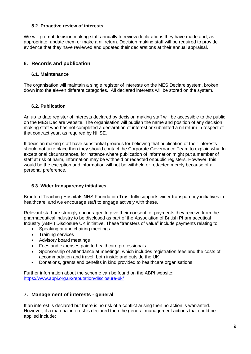### **5.2. Proactive review of interests**

<span id="page-8-0"></span>We will prompt decision making staff annually to review declarations they have made and, as appropriate, update them or make a nil return. Decision making staff will be required to provide evidence that they have reviewed and updated their declarations at their annual appraisal.

### <span id="page-8-1"></span>**6. Records and publication**

#### **6.1. Maintenance**

<span id="page-8-2"></span>The organisation will maintain a single register of interests on the MES Declare system, broken down into the eleven different categories. All declared interests will be stored on the system.

#### **6.2. Publication**

<span id="page-8-3"></span>An up to date register of interests declared by decision making staff will be accessible to the public on the MES Declare website. The organisation will publish the name and position of any decision making staff who has not completed a declaration of interest or submitted a nil return in respect of that contract year, as required by NHSE.

If decision making staff have substantial grounds for believing that publication of their interests should not take place then they should contact the Corporate Governance Team to explain why. In exceptional circumstances, for instance where publication of information might put a member of staff at risk of harm, information may be withheld or redacted onpublic registers. However, this would be the exception and information will not be withheld or redacted merely because of a personal preference.

#### **6.3. Wider transparency initiatives**

<span id="page-8-4"></span>Bradford Teaching Hospitals NHS Foundation Trust fully supports wider transparency initiatives in healthcare, and we encourage staff to engage actively with these.

Relevant staff are strongly encouraged to give their consent for payments they receive from the pharmaceutical industry to be disclosed as part of the Association of British Pharmaceutical Industry (ABPI) Disclosure UK initiative. These "transfers of value" include payments relating to:

- Speaking at and chairing meetings
- Training services
- Advisory board meetings
- Fees and expenses paid to healthcare professionals
- Sponsorship of attendance at meetings, which includes registration fees and the costs of accommodation and travel, both inside and outside the UK
- Donations, grants and benefits in kind provided to healthcare organisations

Further information about the scheme can be found on the ABPI website: <https://www.abpi.org.uk/reputation/disclosure-uk/>

### <span id="page-8-5"></span>**7. Management of interests - general**

If an interest is declared but there is no risk of a conflict arising then no action is warranted. However, if a material interest is declared then the general management actions that could be applied include: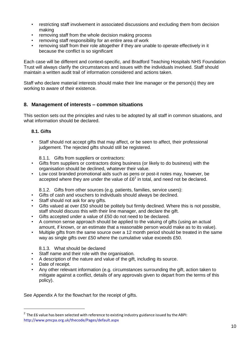- restricting staff involvement in associated discussions and excluding them from decision making
- removing staff from the whole decision making process
- removing staff responsibility for an entire area of work
- removing staff from their role altogether if they are unable to operate effectively in it because the conflict is so significant

Each case will be different and context-specific, and Bradford Teaching Hospitals NHS Foundation Trust will always clarify the circumstances and issues with the individuals involved. Staff should maintain a written audit trail of information considered and actions taken.

Staff who declare material interests should make their line manager or the person(s) they are working to aware of their existence.

### <span id="page-9-0"></span>**8. Management of interests – common situations**

This section sets out the principles and rules to be adopted by all staff in common situations, and what information should be declared.

#### <span id="page-9-1"></span>**8.1. Gifts**

• Staff should not accept gifts that may affect, or be seen to affect, their professional judgement. The rejected gifts should still be registered.

8.1.1. Gifts from suppliers or contractors:

- Gifts from suppliers or contractors doing business (or likely to do business) with the organisation should be declined, whatever their value.
- Low cost branded promotional aids such as pens or post-it notes may, however, be accepted where they are under the value of  $E6<sup>2</sup>$  in total, and need not be declared.
	- 8.1.2. Gifts from other sources (e.g. patients, families, service users):
- Gifts of cash and vouchers to individuals should always be declined.
- Staff should not ask for any gifts.
- Gifts valued at over £50 should be politely but firmly declined. Where this is not possible, staff should discuss this with their line manager, and declare the gift.
- Gifts accepted under a value of £50 do not need to be declared.
- A common sense approach should be applied to the valuing of gifts (using an actual amount, if known, or an estimate that a reasonable person would make as to its value).
- Multiple gifts from the same source over a 12 month period should be treated in the same way as single gifts over £50 where the cumulative value exceeds £50.

#### 8.1.3. What should be declared

- Staff name and their role with the organisation.
- A description of the nature and value of the gift, including its source.
- Date of receipt.
- Any other relevant information (e.g. circumstances surrounding the gift, action taken to mitigate against a conflict, details of any approvals given to depart from the terms of this policy).

See Appendix A for the flowchart for the receipt of gifts.

 $^{2}$  The £6 value has been selected with reference to existing industry guidance issued by the ABPI: <http://www.pmcpa.org.uk/thecode/Pages/default.aspx>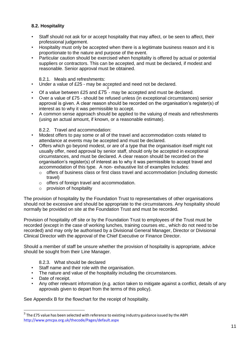### <span id="page-10-0"></span>**8.2. Hospitality**

- Staff should not ask for or accept hospitality that may affect, or be seen to affect, their professional judgement.
- Hospitality must only be accepted when there is a legitimate business reason and it is proportionate to the nature and purpose of the event.
- Particular caution should be exercised when hospitality is offered by actual or potential suppliers or contractors. This can be accepted, and must be declared, if modest and reasonable. Senior approval must be obtained.

#### 8.2.1. Meals and refreshments:

- Under a value of £25 may be accepted and need not be declared.
- Of a value between £25 and £75 may be accepted and must be declared.
- Over a value of £75 should be refused unless (in exceptional circumstances) senior approval is given. A clear reason should be recorded on the organisation's register(s) of interest as to why it was permissible to accept.
- A common sense approach should be applied to the valuing of meals and refreshments (using an actual amount, if known, or a reasonable estimate).

#### 8.2.2. Travel and accommodation:

- Modest offers to pay some or all of the travel and accommodation costs related to attendance at events may be accepted and must be declared.
- Offers which go beyond modest, or are of a type that the organisation itself might not usually offer, need approval by senior staff, should only be accepted in exceptional circumstances, and must be declared. A clear reason should be recorded on the organisation's register(s) of interest as to why it was permissible to accept travel and accommodation of this type. A non- exhaustive list of examples includes:
	- $\circ$  offers of business class or first class travel and accommodation (including domestic travel)
	- o offers of foreign travel and accommodation.
	- o provision of hospitality

The provision of hospitality by the Foundation Trust to representatives of other organisations should not be excessive and should be appropriate to the circumstances. Any hospitality should normally be provided on site at the Foundation Trust and must be recorded.

Provision of hospitality off site or by the Foundation Trust to employees of the Trust must be recorded (except in the case of working lunches, training courses etc., which do not need to be recorded) and may only be authorised by a Divisional General Manager, Director or Divisional Clinical Director with the approval of the Chief Executive or Finance Director.

Should a member of staff be unsure whether the provision of hospitality is appropriate, advice should be sought from their Line Manager.

#### 8.2.3. What should be declared

- Staff name and their role with the organisation.
- The nature and value of the hospitality including the circumstances.
- Date of receipt.
- Any other relevant information (e.g. action taken to mitigate against a conflict, details of any approvals given to depart from the terms of this policy).

See Appendix B for the flowchart for the receipt of hospitality.

 $^3$  The £75 value has been selected with reference to existing industry guidance issued by the ABPI <http://www.pmcpa.org.uk/thecode/Pages/default.aspx>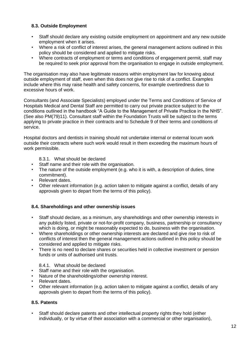### <span id="page-11-0"></span>**8.3. Outside Employment**

- Staff should declare any existing outside employment on appointment and any new outside employment when it arises.
- Where a risk of conflict of interest arises, the general management actions outlined in this policy should be considered and applied to mitigate risks.
- Where contracts of employment or terms and conditions of engagement permit, staff may be required to seek prior approval from the organisation to engage in outside employment.

The organisation may also have legitimate reasons within employment law for knowing about outside employment of staff, even when this does not give rise to risk of a conflict. Examples include where this may raise health and safety concerns, for example overtiredness due to excessive hours of work.

Consultants (and Associate Specialists) employed under the Terms and Conditions of Service of Hospitals Medical and Dental Staff are permitted to carry out private practice subject to the conditions outlined in the handbook "A Guide to the Management of Private Practice in the NHS". (See also PM(79)11). Consultant staff within the Foundation Trusts will be subject to the terms applying to private practice in their contracts and to Schedule 9 of their terms and conditions of service.

Hospital doctors and dentists in training should not undertake internal or external locum work outside their contracts where such work would result in them exceeding the maximum hours of work permissible.

8.3.1. What should be declared

- Staff name and their role with the organisation.
- The nature of the outside employment (e.g. who it is with, a description of duties, time commitment).
- Relevant dates.
- Other relevant information (e.g. action taken to mitigate against a conflict, details of any approvals given to depart from the terms of this policy).

#### <span id="page-11-1"></span>**8.4. Shareholdings and other ownership issues**

- Staff should declare, as a minimum, any shareholdings and other ownership interests in any publicly listed, private or not-for-profit company, business, partnership or consultancy which is doing, or might be reasonably expected to do, business with the organisation.
- Where shareholdings or other ownership interests are declared and give rise to risk of conflicts of interest then the general management actions outlined in this policy should be considered and applied to mitigate risks.
- There is no need to declare shares or securities held in collective investment or pension funds or units of authorised unit trusts.

8.4.1. What should be declared

- Staff name and their role with the organisation.
- Nature of the shareholdings/other ownership interest.
- Relevant dates.
- Other relevant information (e.g. action taken to mitigate against a conflict, details of any approvals given to depart from the terms of this policy).

#### <span id="page-11-2"></span>**8.5. Patents**

• Staff should declare patents and other intellectual property rights they hold (either individually, or by virtue of their association with a commercial or other organisation),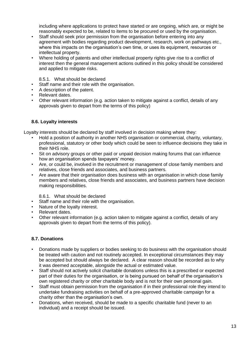including where applications to protect have started or are ongoing, which are, or might be reasonably expected to be, related to items to be procured or used by the organisation.

- Staff should seek prior permission from the organisation before entering into any agreement with bodies regarding product development, research, work on pathways etc., where this impacts on the organisation's own time, or uses its equipment, resources or intellectual property.
- Where holding of patents and other intellectual property rights give rise to a conflict of interest then the general management actions outlined in this policy should be considered and applied to mitigate risks.

8.5.1. What should be declared

- Staff name and their role with the organisation.
- A description of the patent.
- Relevant dates.
- Other relevant information (e.g. action taken to mitigate against a conflict, details of any approvals given to depart from the terms of this policy)

### **8.6. Loyalty interests**

<span id="page-12-0"></span>Loyalty interests should be declared by staff involved in decision making where they:

- Hold a position of authority in another NHS organisation or commercial, charity, voluntary, professional, statutory or other body which could be seen to influence decisions they take in their NHS role.
- Sit on advisory groups or other paid or unpaid decision making forums that can influence how an organisation spends taxpayers' money.
- Are, or could be, involved in the recruitment or management of close family members and relatives, close friends and associates, and business partners.
- Are aware that their organisation does business with an organisation in which close family members and relatives, close friends and associates, and business partners have decision making responsibilities.

8.6.1. What should be declared

- Staff name and their role with the organisation.
- Nature of the loyalty interest.
- Relevant dates.
- Other relevant information (e.g. action taken to mitigate against a conflict, details of any approvals given to depart from the terms of this policy).

### <span id="page-12-1"></span>**8.7. Donations**

- Donations made by suppliers or bodies seeking to do business with the organisation should be treated with caution and not routinely accepted. In exceptional circumstances they may be accepted but should always be declared. A clear reason should be recorded as to why it was deemed acceptable, alongside the actual or estimated value.
- Staff should not actively solicit charitable donations unless this is a prescribed or expected part of their duties for the organisation, or is being pursued on behalf of the organisation's own registered charity or other charitable body and is not for their own personal gain.
- Staff must obtain permission from the organisation if in their professional role they intend to undertake fundraising activities on behalf of a pre-approved charitable campaign for a charity other than the organisation's own.
- Donations, when received, should be made to a specific charitable fund (never to an individual) and a receipt should be issued.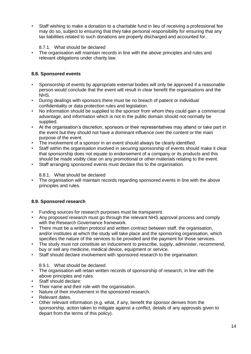• Staff wishing to make a donation to a charitable fund in lieu of receiving a professional fee may do so, subject to ensuring that they take personal responsibility for ensuring that any tax liabilities related to such donations are properly discharged and accounted for.

### 8.7.1. What should be declared

• The organisation will maintain records in line with the above principles and rules and relevant obligations under charity law.

### <span id="page-13-0"></span>**8.8. Sponsored events**

- Sponsorship of events by appropriate external bodies will only be approved if a reasonable person would conclude that the event will result in clear benefit the organisations and the NHS.
- During dealings with sponsors there must be no breach of patient or individual confidentiality or data protection rules and legislation.
- No information should be supplied to the sponsor from whom they could gain a commercial advantage, and information which is not in the public domain should not normally be supplied.
- At the organisation's discretion, sponsors or their representatives may attend or take part in the event but they should not have a dominant influence over the content or the main purpose of the event.
- The involvement of a sponsor in an event should always be clearly identified.
- Staff within the organisation involved in securing sponsorship of events should make it clear that sponsorship does not equate to endorsement of a company or its products and this should be made visibly clear on any promotional or other materials relating to the event.
- Staff arranging sponsored events must declare this to the organisation.

#### 8.8.1. What should be declared

• The organisation will maintain records regarding sponsored events in line with the above principles and rules.

### <span id="page-13-1"></span>**8.9. Sponsored research**

- Funding sources for research purposes must be transparent.
- Any proposed research must go through the relevant NHS approval process and comply with the Research Governance framework.
- There must be a written protocol and written contract between staff, the organisation, and/or institutes at which the study will take place and the sponsoring organisation, which specifies the nature of the services to be provided and the payment for those services.
- The study must not constitute an inducement to prescribe, supply, administer, recommend, buy or sell any medicine, medical device, equipment or service.
- Staff should declare involvement with sponsored research to the organisation.

#### 8.9.1. What should be declared

- The organisation will retain written records of sponsorship of research, in line with the above principles and rules.
- Staff should declare:
- Their name and their role with the organisation.
- Nature of their involvement in the sponsored research.
- Relevant dates.
- Other relevant information (e.g. what, if any, benefit the sponsor derives from the sponsorship, action taken to mitigate against a conflict, details of any approvals given to depart from the terms of this policy).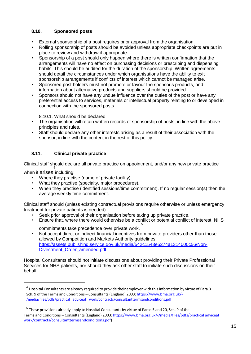### <span id="page-14-0"></span>**8.10. Sponsored posts**

- External sponsorship of a post requires prior approval from the organisation.
- Rolling sponsorship of posts should be avoided unless appropriate checkpoints are put in place to review and withdraw if appropriate.
- Sponsorship of a post should only happen where there is written confirmation that the arrangements will have no effect on purchasing decisions or prescribing and dispensing habits. This should be audited for the duration of the sponsorship. Written agreements should detail the circumstances under which organisations have the ability to exit sponsorship arrangements if conflicts of interest which cannot be managed arise.
- Sponsored post holders must not promote or favour the sponsor's products, and information about alternative products and suppliers should be provided.
- Sponsors should not have any undue influence over the duties of the post or have any preferential access to services, materials or intellectual property relating to or developed in connection with the sponsored posts.

8.10.1. What should be declared

- The organisation will retain written records of sponsorship of posts, in line with the above principles and rules.
- Staff should declare any other interests arising as a result of their association with the sponsor, in line with the content in the rest of this policy.

### **8.11. Clinical private practice**

<span id="page-14-1"></span>Clinical staff should declare all private practice on appointment, and/or any new private practice 4

when it arises including:

- Where they practise (name of private facility).
- What they practise (specialty, major procedures).
- When they practise (identified sessions/time commitment). If no regular session(s) then the average weekly time commitment.

Clinical staff should (unless existing contractual provisions require otherwise or unless emergency treatment for private patients is needed):

- Seek prior approval of their organisation before taking up private practice.<br>• Fosure that where there would otherwise be a conflict or potential conflict
- Ensure that, where there would otherwise be a conflict or potential conflict of interest, NHS 5 commitments take precedence over private work.
- Not accept direct or indirect financial incentives from private providers other than those allowed by Competition and Markets Authority guidelines: [https://assets.publishing.service.gov.uk/media/542c1543e5274a1314000c56/Non-](https://assets.publishing.service.gov.uk/media/542c1543e5274a1314000c56/Non-Divestment_Order_amended.pdf)[Divestment\\_Order\\_amended.pdf](https://assets.publishing.service.gov.uk/media/542c1543e5274a1314000c56/Non-Divestment_Order_amended.pdf)

Hospital Consultants should not initiate discussions about providing their Private Professional Services for NHS patients, nor should they ask other staff to initiate such discussions on their behalf.

 $^4$  Hospital Consultants are already required to provide their employer with this information by virtue of Para.3 Sch. 9 of the Terms and Conditions – Consultants(England) 2003: [https://www.bma.org.uk/-](https://www.bma.org.uk/-/media/files/pdfs/practical%20advice%20at%20work/contracts/consultanttermsandconditions.pdf) /media/files/pdfs/practical adviceat [work/contracts/consultanttermsandconditions.pdf](https://www.bma.org.uk/-/media/files/pdfs/practical%20advice%20at%20work/contracts/consultanttermsandconditions.pdf)

 $^5$  These provisions already apply to Hospital Consultants by virtue of Paras.5 and 20, Sch. 9 of the Terms and Conditions – Consultants (England) 2003[: https://www.bma.org.uk/-/media/files/pdfs/practical](https://www.bma.org.uk/-/media/files/pdfs/practical%20advice%20at%20work/contracts/consultanttermsandconditions.pdf) [adviceat](https://www.bma.org.uk/-/media/files/pdfs/practical%20advice%20at%20work/contracts/consultanttermsandconditions.pdf) [work/contracts/consultanttermsandconditions.pdf\)](https://www.bma.org.uk/-/media/files/pdfs/practical%20advice%20at%20work/contracts/consultanttermsandconditions.pdf)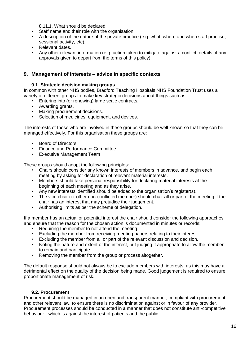8.11.1. What should be declared

- Staff name and their role with the organisation.
- A description of the nature of the private practice (e.g. what, where and when staff practise, sessional activity, etc).
- Relevant dates.
- Any other relevant information (e.g. action taken to mitigate against a conflict, details of any approvals given to depart from the terms of this policy).

#### <span id="page-15-0"></span>**9. Management of interests – advice in specific contexts**

#### **9.1. Strategic decision making groups**

<span id="page-15-1"></span>In common with other NHS bodies, Bradford Teaching Hospitals NHS Foundation Trust uses a variety of different groups to make key strategic decisions about things such as:

- Entering into (or renewing) large scale contracts.
- Awarding grants.
- Making procurement decisions.
- Selection of medicines, equipment, and devices.

The interests of those who are involved in these groups should be well known so that they can be managed effectively. For this organisation these groups are:

- Board of Directors
- Finance and Performance Committee
- Executive Management Team

These groups should adopt the following principles:

- Chairs should consider any known interests of members in advance, and begin each meeting by asking for declaration of relevant material interests.
- Members should take personal responsibility for declaring material interests at the beginning of each meeting and as they arise.
- Any new interests identified should be added to the organisation's register(s).
- The vice chair (or other non-conflicted member) should chair all or part of the meeting if the chair has an interest that may prejudice their judgement.
- Authorising limits as per the scheme of delegation.

If a member has an actual or potential interest the chair should consider the following approaches and ensure that the reason for the chosen action is documented in minutes or records:

- Requiring the member to not attend the meeting.
- Excluding the member from receiving meeting papers relating to their interest.
- Excluding the member from all or part of the relevant discussion and decision.
- Noting the nature and extent of the interest, but judging it appropriate to allow the member to remain and participate.
- Removing the member from the group or process altogether.

The default response should not always be to exclude members with interests, as this may have a detrimental effect on the quality of the decision being made. Good judgement is required to ensure proportionate management of risk.

#### **9.2. Procurement**

<span id="page-15-2"></span>Procurement should be managed in an open and transparent manner, compliant with procurement and other relevant law, to ensure there is no discrimination against or in favour of any provider. Procurement processes should be conducted in a manner that does not constitute anti-competitive behaviour - which is against the interest of patients and the public.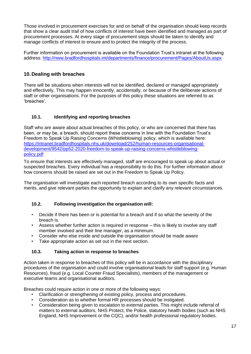Those involved in procurement exercises for and on behalf of the organisation should keep records that show a clear audit trail of how conflicts of interest have been identified and managed as part of procurement processes. At every stage of procurement steps should be taken to identify and manage conflicts of interest to ensure and to protect the integrity of the process.

Further information on procurement is available on the Foundation Trust's intranet at the following address: <http://nww.bradfordhospitals.int/departments/finance/procurement/Pages/AboutUs.aspx>

### <span id="page-16-0"></span>**10.Dealing with breaches**

There will be situations when interests will not be identified, declared or managed appropriately and effectively. This may happen innocently, accidentally, or because of the deliberate actions of staff or other organisations. For the purposes of this policy these situations are referred to as 'breaches'.

### **10.1. Identifying and reporting breaches**

<span id="page-16-1"></span>Staff who are aware about actual breaches of this policy, or who are concerned that there has been, or may be, a breach, should report these concerns in line with the Foundation Trust's Freedom to Speak Up Raising Concerns (Whistleblowing) policy, which is available here: [https://intranet.bradfordhospitals.nhs.uk/download/252/human-resources-organisational](https://intranet.bradfordhospitals.nhs.uk/download/252/human-resources-organisational-development/9542/pp52-2020-freedom-to-speak-up-raising-concerns-whistleblowing-policy.pdf)[development/9542/pp52-2020-freedom-to-speak-up-raising-concerns-whistleblowing](https://intranet.bradfordhospitals.nhs.uk/download/252/human-resources-organisational-development/9542/pp52-2020-freedom-to-speak-up-raising-concerns-whistleblowing-policy.pdf)[policy.pdf](https://intranet.bradfordhospitals.nhs.uk/download/252/human-resources-organisational-development/9542/pp52-2020-freedom-to-speak-up-raising-concerns-whistleblowing-policy.pdf)

To ensure that interests are effectively managed, staff are encouraged to speak up about actual or suspected breaches. Every individual has a responsibility to do this. For further information about how concerns should be raised are set out in the Freedom to Speak Up Policy.

The organisation will investigate each reported breach according to its own specific facts and merits, and give relevant parties the opportunity to explain and clarify any relevant circumstances.

### <span id="page-16-2"></span>**10.2. Following investigation the organisation will:**

- Decide if there has been or is potential for a breach and if so what the severity of the breach is.
- Assess whether further action is required in response this is likely to involve any staff member involved and their line manager, as a minimum.
- Consider who else inside and outside the organisation should be made aware
- Take appropriate action as set out in the next section.

### **10.3. Taking action in response to breaches**

<span id="page-16-3"></span>Action taken in response to breaches of this policy will be in accordance with the disciplinary procedures of the organisation and could involve organisational leads for staff support (e.g. Human Resources), fraud (e.g. Local Counter Fraud Specialists), members of the management or executive teams and organisational auditors.

Breaches could require action in one or more of the following ways:

- Clarification or strengthening of existing policy, process and procedures.
- Consideration as to whether formal HR processes should be instigated.
- Consideration being given to escalation to external parties. This might include referral of matters to external auditors, NHS Protect, the Police, statutory health bodies (such as NHS England, NHS Improvement or the CQC), and/or health professional regulatory bodies.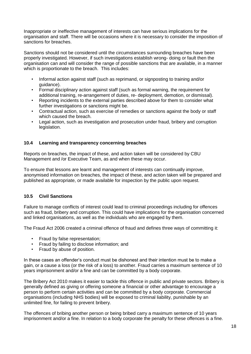Inappropriate or ineffective management of interests can have serious implications for the organisation and staff. There will be occasions where it is necessary to consider the imposition of sanctions for breaches.

Sanctions should not be considered until the circumstances surrounding breaches have been properly investigated. However, if such investigations establish wrong- doing or fault then the organisation can and will consider the range of possible sanctions that are available, in a manner which is proportionate to the breach. This includes:

- Informal action against staff (such as reprimand, or signposting to training and/or guidance).
- Formal disciplinary action against staff (such as formal warning, the requirement for additional training, re-arrangement of duties, re- deployment, demotion, or dismissal).
- Reporting incidents to the external parties described above for them to consider what further investigations or sanctions might be.
- Contractual action, such as exercise of remedies or sanctions against the body or staff which caused the breach.
- Legal action, such as investigation and prosecution under fraud, bribery and corruption legislation.

#### **10.4 Learning and transparency concerning breaches**

Reports on breaches, the impact of these, and action taken will be considered by CBU Management and /or Executive Team, as and when these may occur.

To ensure that lessons are learnt and management of interests can continually improve, anonymised information on breaches, the impact of these, and action taken will be prepared and published as appropriate, or made available for inspection by the public upon request.

### **10.5 Civil Sanctions**

Failure to manage conflicts of interest could lead to criminal proceedings including for offences such as fraud, bribery and corruption. This could have implications for the organisation concerned and linked organisations, as well as the individuals who are engaged by them.

The Fraud Act 2006 created a criminal offence of fraud and defines three ways of committing it:

- Fraud by false representation;
- Fraud by failing to disclose information; and
- Fraud by abuse of position.

In these cases an offender's conduct must be dishonest and their intention must be to make a gain, or a cause a loss (or the risk of a loss) to another. Fraud carries a maximum sentence of 10 years imprisonment and/or a fine and can be committed by a body corporate.

The Bribery Act 2010 makes it easier to tackle this offence in public and private sectors. Bribery is generally defined as giving or offering someone a financial or other advantage to encourage a person to perform certain activities and can be committed by a body corporate. Commercial organisations (including NHS bodies) will be exposed to criminal liability, punishable by an unlimited fine, for failing to prevent bribery.

The offences of bribing another person or being bribed carry a maximum sentence of 10 years imprisonment and/or a fine. In relation to a body corporate the penalty for these offences is a fine.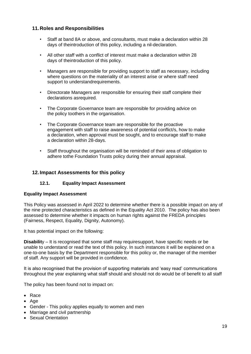### <span id="page-18-0"></span>**11.Roles and Responsibilities**

- Staff at band 8A or above, and consultants, must make a declaration within 28 days of theintroduction of this policy, including a nil-declaration.
- All other staff with a conflict of interest must make a declaration within 28 days of theintroduction of this policy.
- Managers are responsible for providing support to staff as necessary, including where questions on the materiality of an interest arise or where staff need support to understandrequirements.
- Directorate Managers are responsible for ensuring their staff complete their declarations asrequired.
- The Corporate Governance team are responsible for providing advice on the policy toothers in the organisation.
- The Corporate Governance team are responsible for the proactive engagement with staff to raise awareness of potential conflict/s, how to make a declaration, when approval must be sought, and to encourage staff to make a declaration within 28-days.
- Staff throughout the organisation will be reminded of their area of obligation to adhere tothe Foundation Trusts policy during their annual appraisal.

### <span id="page-18-1"></span>**12. Impact Assessments for this policy**

### **12.1. Equality Impact Assessment**

#### <span id="page-18-2"></span>**Equality Impact Assessment**

This Policy was assessed in April 2022 to determine whether there is a possible impact on any of the nine protected characteristics as defined in the Equality Act 2010. The policy has also been assessed to determine whether it impacts on human rights against the FREDA principles (Fairness, Respect, Equality, Dignity, Autonomy).

It has potential impact on the following:

**Disabilit**y – It is recognised that some staff may requiresupport, have specific needs or be unable to understand or read the text of this policy. In such instances it will be explained on a one-to-one basis by the Department responsible for this policy or, the manager of the member of staff. Any support will be provided in confidence.

It is also recognised that the provision of supporting materials and 'easy read' communications throughout the year explaining what staff should and should not do would be of benefit to all staff

The policy has been found not to impact on:

- Race
- Age
- Gender This policy applies equally to women and men
- Marriage and civil partnership
- Sexual Orientation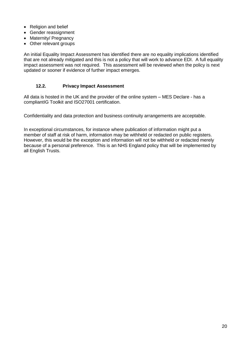- Religion and belief
- Gender reassignment
- Maternity/ Pregnancy
- Other relevant groups

An initial Equality Impact Assessment has identified there are no equality implications identified that are not already mitigated and this is not a policy that will work to advance EDI. A full equality impact assessment was not required. This assessment will be reviewed when the policy is next updated or sooner if evidence of further impact emerges.

#### **12.2. Privacy Impact Assessment**

<span id="page-19-0"></span>All data is hosted in the UK and the provider of the online system – MES Declare - has a compliantIG Toolkit and ISO27001 certification.

Confidentiality and data protection and business continuity arrangements are acceptable.

In exceptional circumstances, for instance where publication of information might put a member of staff at risk of harm, information may be withheld or redacted on public registers. However, this would be the exception and information will not be withheld or redacted merely because of a personal preference. This is an NHS England policy that will be implemented by all English Trusts.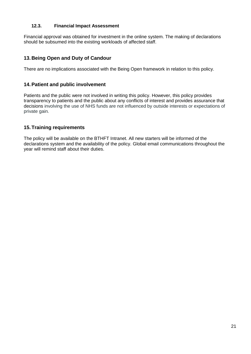#### **12.3. Financial Impact Assessment**

<span id="page-20-0"></span>Financial approval was obtained for investment in the online system. The making of declarations should be subsumed into the existing workloads of affected staff.

### <span id="page-20-1"></span>**13.Being Open and Duty of Candour**

There are no implications associated with the Being Open framework in relation to this policy.

### <span id="page-20-2"></span>**14.Patient and public involvement**

Patients and the public were not involved in writing this policy. However, this policy provides transparency to patients and the public about any conflicts of interest and provides assurance that decisions involving the use of NHS funds are not influenced by outside interests or expectations of private gain.

### <span id="page-20-3"></span>**15.Training requirements**

The policy will be available on the BTHFT Intranet. All new starters will be informed of the declarations system and the availability of the policy. Global email communications throughout the year will remind staff about their duties.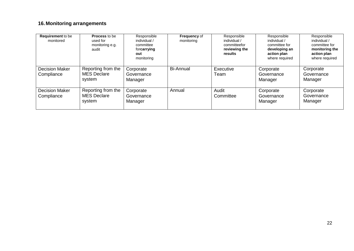## **16. Monitoring arrangements**

<span id="page-21-0"></span>

| <b>Requirement</b> to be<br>monitored | <b>Process to be</b><br>used for<br>monitoring e.g.<br>audit | Responsible<br>individual /<br>committee<br>forcarrying<br>out<br>monitoring | <b>Frequency of</b><br>monitoring | Responsible<br>individual /<br>committeefor<br>reviewing the<br>results | Responsible<br>individual /<br>committee for<br>developing an<br>action plan<br>where required | Responsible<br>individual /<br>committee for<br>monitoring the<br>action plan<br>where required |
|---------------------------------------|--------------------------------------------------------------|------------------------------------------------------------------------------|-----------------------------------|-------------------------------------------------------------------------|------------------------------------------------------------------------------------------------|-------------------------------------------------------------------------------------------------|
| <b>Decision Maker</b><br>Compliance   | Reporting from the<br><b>MES Declare</b><br>system           | Corporate<br>Governance<br>Manager                                           | <b>Bi-Annual</b>                  | Executive<br>Team                                                       | Corporate<br>Governance<br>Manager                                                             | Corporate<br>Governance<br>Manager                                                              |
| <b>Decision Maker</b><br>Compliance   | Reporting from the<br><b>MES Declare</b><br>system           | Corporate<br>Governance<br>Manager                                           | Annual                            | Audit<br>Committee                                                      | Corporate<br>Governance<br>Manager                                                             | Corporate<br>Governance<br>Manager                                                              |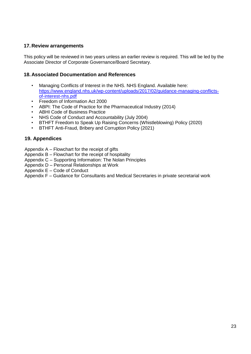### <span id="page-22-0"></span>**17.Review arrangements**

This policy will be reviewed in two years unless an earlier review is required. This will be led by the Associate Director of Corporate Governance/Board Secretary.

### <span id="page-22-1"></span>**18.Associated Documentation and References**

- Managing Conflicts of Interest in the NHS. NHS England. Available here: [https://www.england.nhs.uk/wp-content/uploads/2017/02/guidance-managing-conflicts](https://www.england.nhs.uk/wp-content/uploads/2017/02/guidance-managing-conflicts-of-interest-nhs.pdf)[of-interest-nhs.pdf](https://www.england.nhs.uk/wp-content/uploads/2017/02/guidance-managing-conflicts-of-interest-nhs.pdf)
- Freedom of Information Act 2000
- ABPI: The Code of Practice for the Pharmaceutical Industry (2014)
- ABHI Code of Business Practice
- NHS Code of Conduct and Accountability (July 2004)
- BTHFT Freedom to Speak Up Raising Concerns (Whistleblowing) Policy (2020)<br>• BTHFT Anti-Fraud Bribery and Corruption Policy (2021)
- BTHFT Anti-Fraud, Bribery and Corruption Policy (2021)

### **19. Appendices**

- Appendix A Flowchart for the receipt of gifts
- Appendix B Flowchart for the receipt of hospitality
- Appendix C Supporting Information: The Nolan Principles
- Appendix D Personal Relationships at Work
- Appendix E Code of Conduct
- Appendix F Guidance for Consultants and Medical Secretaries in private secretarial work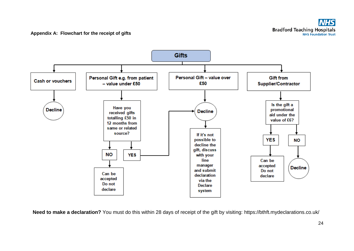

**Need to make a declaration?** You must do this within 28 days of receipt of the gift by visiting: <https://bthft.mydeclarations.co.uk/>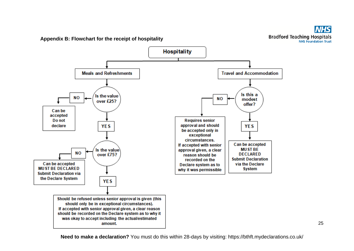

**Appendix B: Flowchart for the receipt of hospitality**



**Need to make a declaration?** You must do this within 28-days by visiting:<https://bthft.mydeclarations.co.uk/>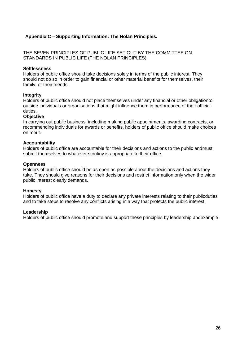### <span id="page-25-0"></span>**Appendix C – Supporting Information: The Nolan Principles.**

THE SEVEN PRINCIPLES OF PUBLIC LIFE SET OUT BY THE COMMITTEE ON STANDARDS IN PUBLIC LIFE (THE NOLAN PRINCIPLES)

#### **Selflessness**

Holders of public office should take decisions solely in terms of the public interest. They should not do so in order to gain financial or other material benefits for themselves, their family, or their friends.

#### **Integrity**

Holders of public office should not place themselves under any financial or other obligationto outside individuals or organisations that might influence them in performance of their official duties.

#### **Objective**

In carrying out public business, including making public appointments, awarding contracts, or recommending individuals for awards or benefits, holders of public office should make choices on merit.

#### **Accountability**

Holders of public office are accountable for their decisions and actions to the public andmust submit themselves to whatever scrutiny is appropriate to their office.

#### **Openness**

Holders of public office should be as open as possible about the decisions and actions they take. They should give reasons for their decisions and restrict information only when the wider public interest clearly demands.

#### **Honesty**

Holders of public office have a duty to declare any private interests relating to their publicduties and to take steps to resolve any conflicts arising in a way that protects the public interest.

#### **Leadership**

Holders of public office should promote and support these principles by leadership andexample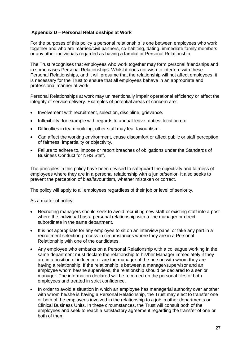### <span id="page-26-0"></span>**Appendix D – Personal Relationships at Work**

For the purposes of this policy a personal relationship is one between employees who work together and who are married/civil partners, co-habiting, dating, immediate family members or any other individuals regarded as having a familial or Personal Relationship.

The Trust recognises that employees who work together may form personal friendships and in some cases Personal Relationships. Whilst it does not wish to interfere with these Personal Relationships, and it will presume that the relationship will not affect employees, it is necessary for the Trust to ensure that all employees behave in an appropriate and professional manner at work.

Personal Relationships at work may unintentionally impair operational efficiency or affect the integrity of service delivery. Examples of potential areas of concern are:

- Involvement with recruitment, selection, discipline, grievance.
- Inflexibility, for example with regards to annual-leave, duties, location etc.
- Difficulties in team building, other staff may fear favouritism.
- Can affect the working environment, cause discomfort or affect public or staff perception of fairness, impartiality or objectivity.
- Failure to adhere to, impose or report breaches of obligations under the Standards of Business Conduct for NHS Staff.

The principles in this policy have been devised to safeguard the objectivity and fairness of employees where they are in a personal relationship with a junior/senior. It also seeks to prevent the perception of bias/favouritism, whether mistaken or correct.

The policy will apply to all employees regardless of their job or level of seniority.

As a matter of policy:

- Recruiting managers should seek to avoid recruiting new staff or existing staff into a post where the individual has a personal relationship with a line manager or direct subordinate in the same department.
- It is not appropriate for any employee to sit on an interview panel or take any part in a recruitment selection process in circumstances where they are in a Personal Relationship with one of the candidates.
- Any employee who embarks on a Personal Relationship with a colleague working in the same department must declare the relationship to his/her Manager immediately if they are in a position of influence or are the manager of the person with whom they are having a relationship. If the relationship is between a manager/supervisor and an employee whom he/she supervises, the relationship should be declared to a senior manager. The information declared will be recorded on the personal files of both employees and treated in strict confidence.
- In order to avoid a situation in which an employee has managerial authority over another with whom he/she is having a Personal Relationship, the Trust may elect to transfer one or both of the employees involved in the relationship to a job in other departments or Clinical Business Units. In these circumstances, the Trust will consult both of the employees and seek to reach a satisfactory agreement regarding the transfer of one or both of them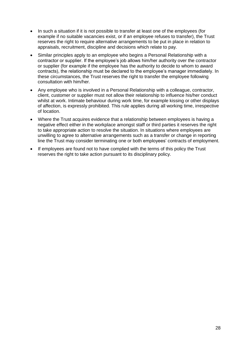- In such a situation if it is not possible to transfer at least one of the employees (for example if no suitable vacancies exist, or if an employee refuses to transfer), the Trust reserves the right to require alternative arrangements to be put in place in relation to appraisals, recruitment, discipline and decisions which relate to pay.
- Similar principles apply to an employee who begins a Personal Relationship with a contractor or supplier. If the employee's job allows him/her authority over the contractor or supplier (for example if the employee has the authority to decide to whom to award contracts), the relationship must be declared to the employee's manager immediately. In these circumstances, the Trust reserves the right to transfer the employee following consultation with him/her.
- Any employee who is involved in a Personal Relationship with a colleague, contractor, client, customer or supplier must not allow their relationship to influence his/her conduct whilst at work. Intimate behaviour during work time, for example kissing or other displays of affection, is expressly prohibited. This rule applies during all working time, irrespective of location.
- Where the Trust acquires evidence that a relationship between employees is having a negative effect either in the workplace amongst staff or third parties it reserves the right to take appropriate action to resolve the situation. In situations where employees are unwilling to agree to alternative arrangements such as a transfer or change in reporting line the Trust may consider terminating one or both employees' contracts of employment.
- If employees are found not to have complied with the terms of this policy the Trust reserves the right to take action pursuant to its disciplinary policy.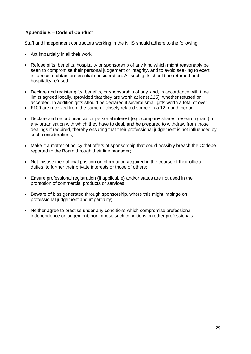### <span id="page-28-0"></span>**Appendix E – Code of Conduct**

Staff and independent contractors working in the NHS should adhere to the following:

- Act impartially in all their work;
- Refuse gifts, benefits, hospitality or sponsorship of any kind which might reasonably be seen to compromise their personal judgement or integrity, and to avoid seeking to exert influence to obtain preferential consideration. All such gifts should be returned and hospitality refused;
- Declare and register gifts, benefits, or sponsorship of any kind, in accordance with time limits agreed locally, (provided that they are worth at least £25), whether refused or accepted. In addition gifts should be declared if several small gifts worth a total of over
- £100 are received from the same or closely related source in a 12 month period.
- Declare and record financial or personal interest (e.g. company shares, research grant)in any organisation with which they have to deal, and be prepared to withdraw from those dealings if required, thereby ensuring that their professional judgement is not influenced by such considerations;
- Make it a matter of policy that offers of sponsorship that could possibly breach the Codebe reported to the Board through their line manager;
- Not misuse their official position or information acquired in the course of their official duties, to further their private interests or those of others;
- Ensure professional registration (if applicable) and/or status are not used in the promotion of commercial products or services;
- Beware of bias generated through sponsorship, where this might impinge on professional judgement and impartiality;
- Neither agree to practise under any conditions which compromise professional independence or judgement, nor impose such conditions on other professionals.